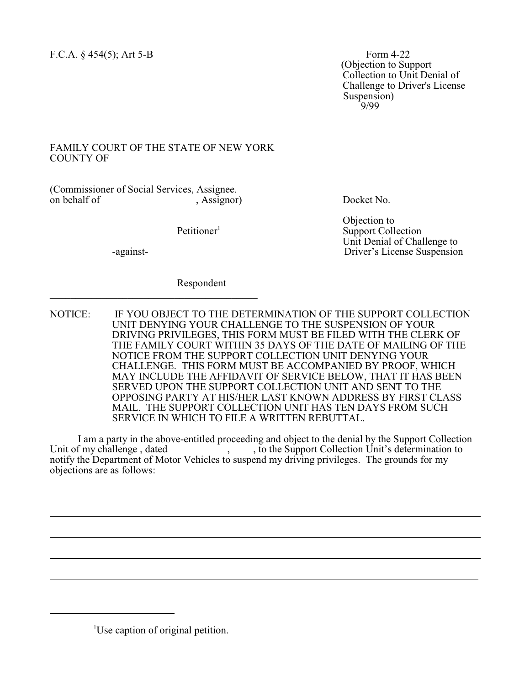(Objection to Support Collection to Unit Denial of Challenge to Driver's License Suspension)<br> $9/99$ 9/99

## FAMILY COURT OF THE STATE OF NEW YORK COUNTY OF \_\_\_\_\_\_\_\_\_\_\_\_\_\_\_\_\_\_\_\_\_\_\_\_\_\_\_\_\_\_\_\_\_\_\_\_\_\_

(Commissioner of Social Services, Assignee. , Assignor) Docket No.

 $\overline{\mathcal{L}}$  , and the set of the set of the set of the set of the set of the set of the set of the set of the set of the set of the set of the set of the set of the set of the set of the set of the set of the set of the s

 $\overline{a}$ 

 $\overline{a}$ 

Objection to<br>
Petitioner<sup>1</sup> Support Coll **Support Collection**  Unit Denial of Challenge to -against- Driver's License Suspension

Respondent

NOTICE: IF YOU OBJECT TO THE DETERMINATION OF THE SUPPORT COLLECTION UNIT DENYING YOUR CHALLENGE TO THE SUSPENSION OF YOUR DRIVING PRIVILEGES, THIS FORM MUST BE FILED WITH THE CLERK OF THE FAMILY COURT WITHIN 35 DAYS OF THE DATE OF MAILING OF THE NOTICE FROM THE SUPPORT COLLECTION UNIT DENYING YOUR CHALLENGE. THIS FORM MUST BE ACCOMPANIED BY PROOF, WHICH MAY INCLUDE THE AFFIDAVIT OF SERVICE BELOW, THAT IT HAS BEEN SERVED UPON THE SUPPORT COLLECTION UNIT AND SENT TO THE OPPOSING PARTY AT HIS/HER LAST KNOWN ADDRESS BY FIRST CLASS MAIL. THE SUPPORT COLLECTION UNIT HAS TEN DAYS FROM SUCH SERVICE IN WHICH TO FILE A WRITTEN REBUTTAL.

I am a party in the above-entitled proceeding and object to the denial by the Support Collection  $\overline{\phantom{a}}$ ,  $\overline{\phantom{a}}$ , to the Support Collection Unit's determination to notify the Department of Motor Vehicles to suspend my driving privileges. The grounds for my objections are as follows:

<sup>1</sup>Use caption of original petition.